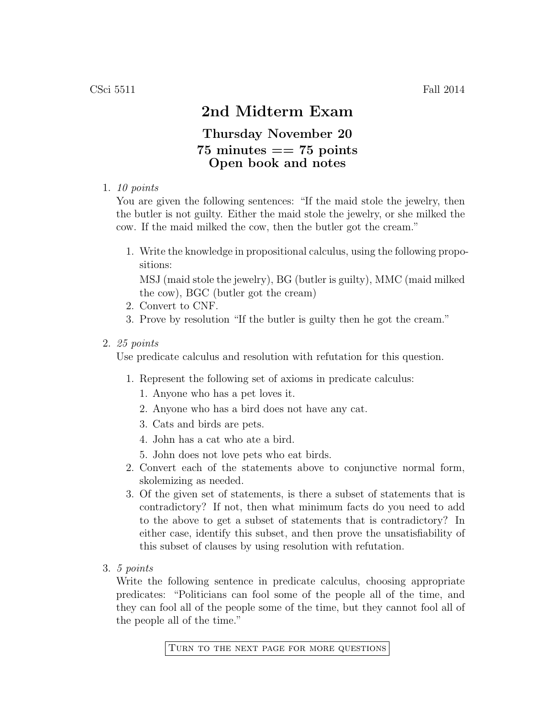## 2nd Midterm Exam

## Thursday November 20  $75 \text{ minutes} == 75 \text{ points}$ Open book and notes

1. 10 points

You are given the following sentences: "If the maid stole the jewelry, then the butler is not guilty. Either the maid stole the jewelry, or she milked the cow. If the maid milked the cow, then the butler got the cream."

1. Write the knowledge in propositional calculus, using the following propositions:

MSJ (maid stole the jewelry), BG (butler is guilty), MMC (maid milked the cow), BGC (butler got the cream)

- 2. Convert to CNF.
- 3. Prove by resolution "If the butler is guilty then he got the cream."
- 2. 25 points

Use predicate calculus and resolution with refutation for this question.

- 1. Represent the following set of axioms in predicate calculus:
	- 1. Anyone who has a pet loves it.
	- 2. Anyone who has a bird does not have any cat.
	- 3. Cats and birds are pets.
	- 4. John has a cat who ate a bird.
	- 5. John does not love pets who eat birds.
- 2. Convert each of the statements above to conjunctive normal form, skolemizing as needed.
- 3. Of the given set of statements, is there a subset of statements that is contradictory? If not, then what minimum facts do you need to add to the above to get a subset of statements that is contradictory? In either case, identify this subset, and then prove the unsatisfiability of this subset of clauses by using resolution with refutation.
- 3. 5 points

Write the following sentence in predicate calculus, choosing appropriate predicates: "Politicians can fool some of the people all of the time, and they can fool all of the people some of the time, but they cannot fool all of the people all of the time."

Turn to the next page for more questions